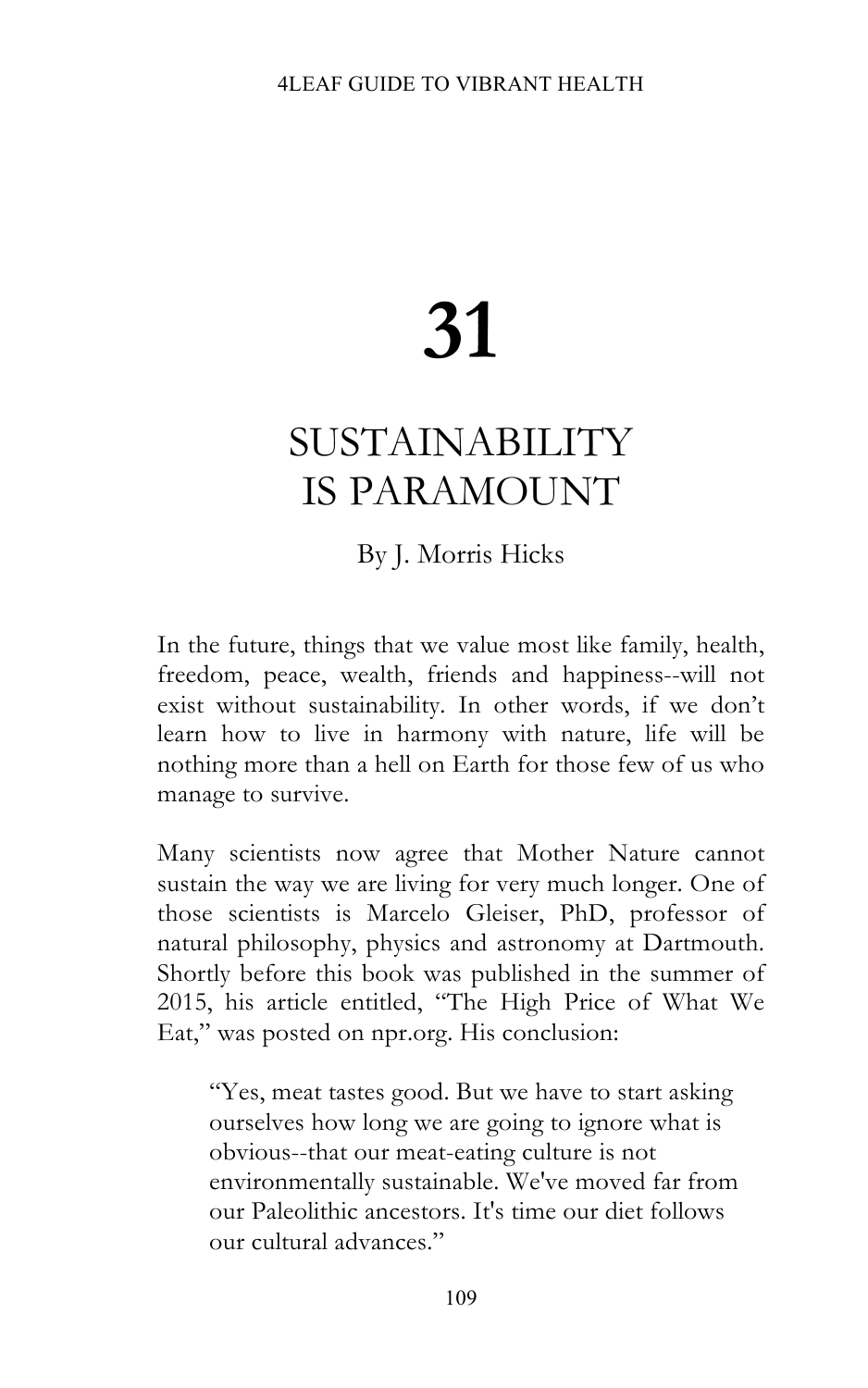## **31**

## SUSTAINABILITY IS PARAMOUNT

By J. Morris Hicks

In the future, things that we value most like family, health, freedom, peace, wealth, friends and happiness--will not exist without sustainability. In other words, if we don't learn how to live in harmony with nature, life will be nothing more than a hell on Earth for those few of us who manage to survive.

Many scientists now agree that Mother Nature cannot sustain the way we are living for very much longer. One of those scientists is Marcelo Gleiser, PhD, professor of natural philosophy, physics and astronomy at Dartmouth. Shortly before this book was published in the summer of 2015, his article entitled, "The High Price of What We Eat," was posted on npr.org. His conclusion:

"Yes, meat tastes good. But we have to start asking ourselves how long we are going to ignore what is obvious--that our meat-eating culture is not environmentally sustainable. We've moved far from our Paleolithic ancestors. It's time our diet follows our cultural advances."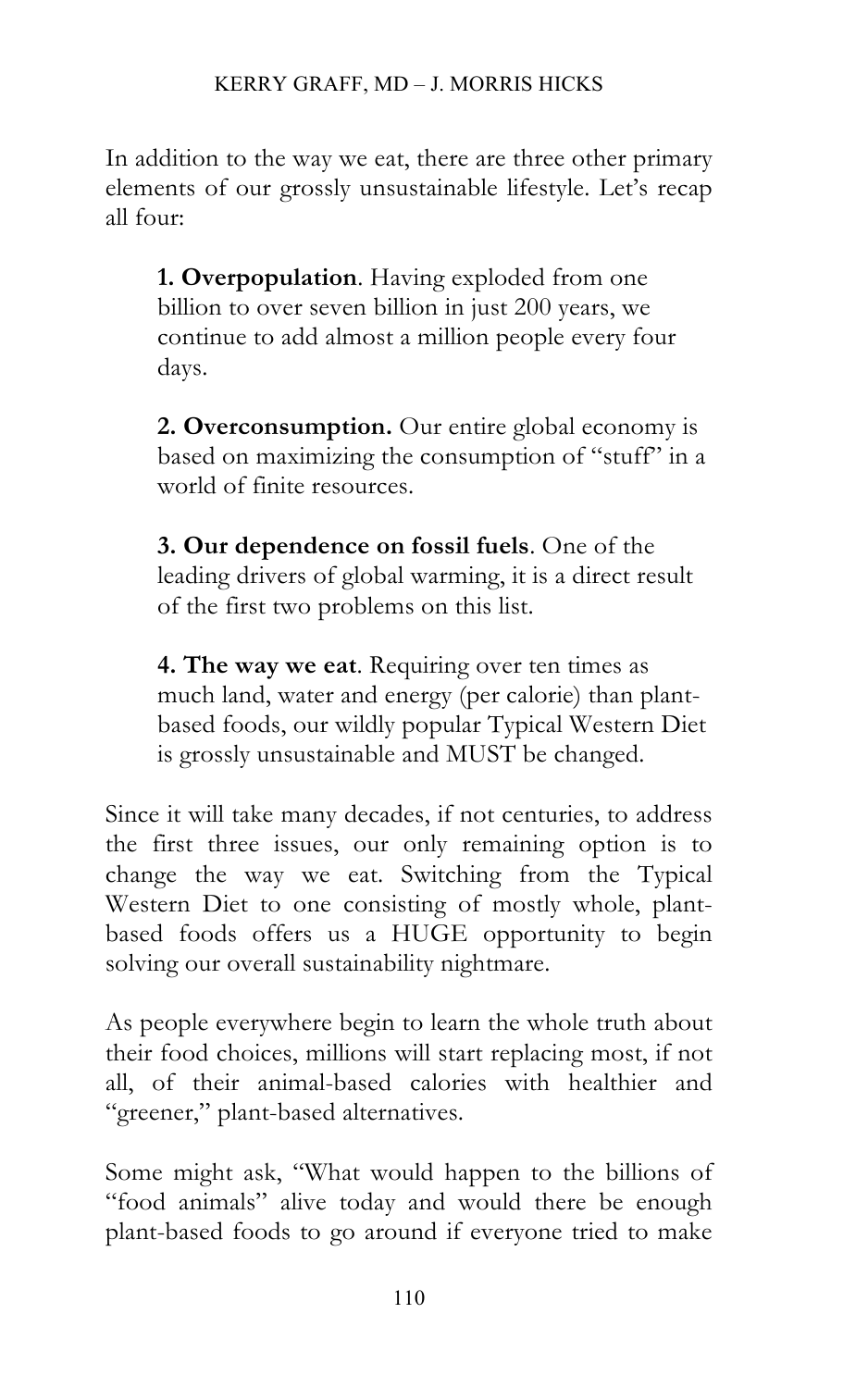In addition to the way we eat, there are three other primary elements of our grossly unsustainable lifestyle. Let's recap all four:

**1. Overpopulation**. Having exploded from one billion to over seven billion in just 200 years, we continue to add almost a million people every four days.

**2. Overconsumption.** Our entire global economy is based on maximizing the consumption of "stuff" in a world of finite resources.

**3. Our dependence on fossil fuels**. One of the leading drivers of global warming, it is a direct result of the first two problems on this list.

**4. The way we eat**. Requiring over ten times as much land, water and energy (per calorie) than plantbased foods, our wildly popular Typical Western Diet is grossly unsustainable and MUST be changed.

Since it will take many decades, if not centuries, to address the first three issues, our only remaining option is to change the way we eat. Switching from the Typical Western Diet to one consisting of mostly whole, plantbased foods offers us a HUGE opportunity to begin solving our overall sustainability nightmare.

As people everywhere begin to learn the whole truth about their food choices, millions will start replacing most, if not all, of their animal-based calories with healthier and "greener," plant-based alternatives.

Some might ask, "What would happen to the billions of "food animals" alive today and would there be enough plant-based foods to go around if everyone tried to make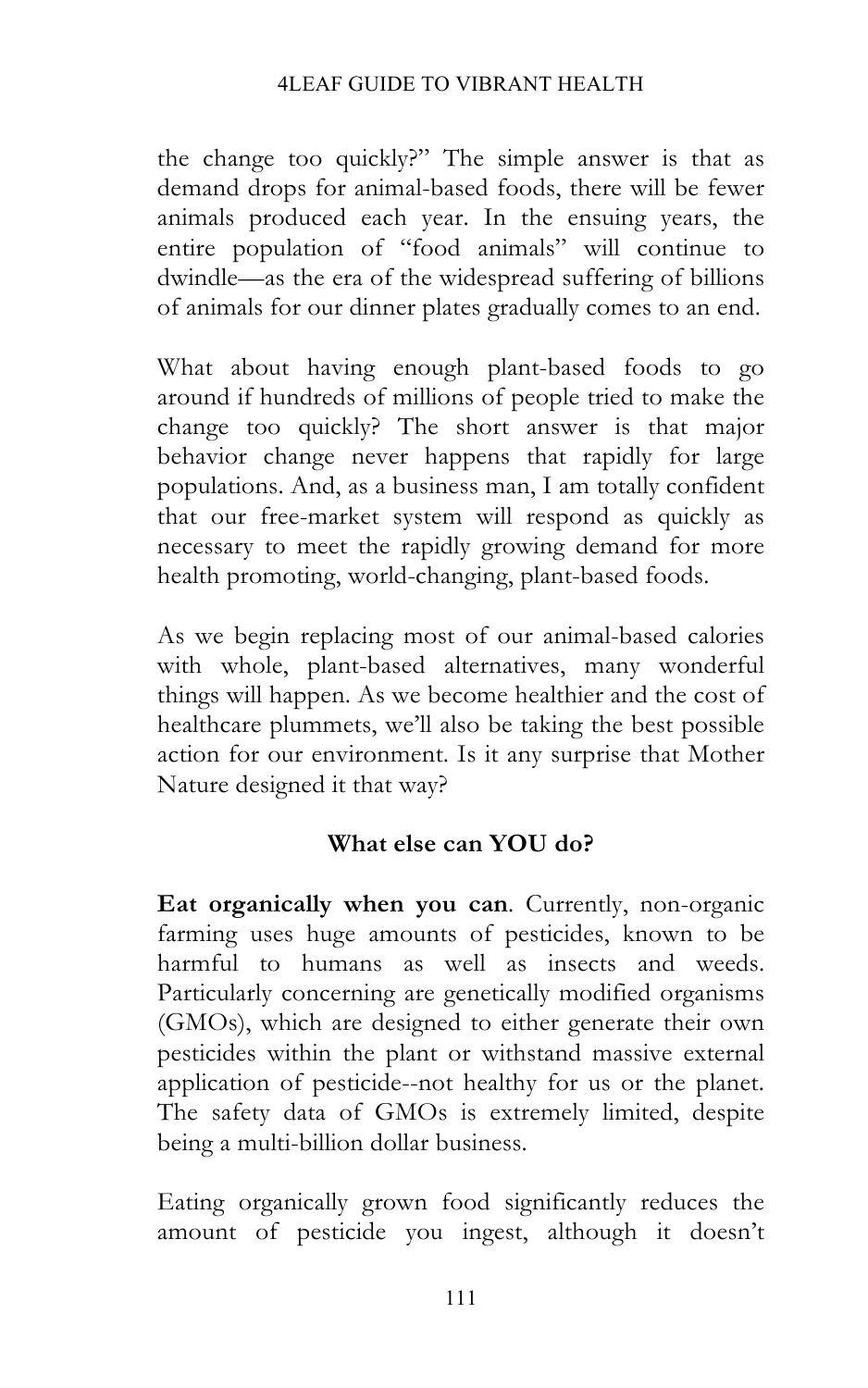## 4LEAF GUIDE TO VIBRANT HEALTH

the change too quickly?" The simple answer is that as demand drops for animal-based foods, there will be fewer animals produced each year. In the ensuing years, the entire population of "food animals" will continue to dwindle—as the era of the widespread suffering of billions of animals for our dinner plates gradually comes to an end.

What about having enough plant-based foods to go around if hundreds of millions of people tried to make the change too quickly? The short answer is that major behavior change never happens that rapidly for large populations. And, as a business man, I am totally confident that our free-market system will respond as quickly as necessary to meet the rapidly growing demand for more health promoting, world-changing, plant-based foods.

As we begin replacing most of our animal-based calories with whole, plant-based alternatives, many wonderful things will happen. As we become healthier and the cost of healthcare plummets, we'll also be taking the best possible action for our environment. Is it any surprise that Mother Nature designed it that way?

## **What else can YOU do?**

**Eat organically when you can**. Currently, non-organic farming uses huge amounts of pesticides, known to be harmful to humans as well as insects and weeds. Particularly concerning are genetically modified organisms (GMOs), which are designed to either generate their own pesticides within the plant or withstand massive external application of pesticide--not healthy for us or the planet. The safety data of GMOs is extremely limited, despite being a multi-billion dollar business.

Eating organically grown food significantly reduces the amount of pesticide you ingest, although it doesn't